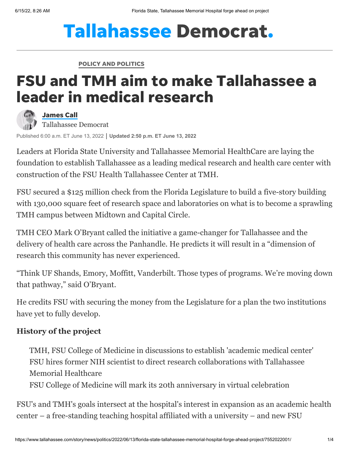# **Tallahassee Democrat.**

POLICY AND [POLITICS](https://www.tallahassee.com/policy-politics/)

## FSU and TMH aim to make Tallahassee a leader in medical research



[James](https://www.tallahassee.com/staff/4395675002/james-call/) Call Tallahassee Democrat

Published 6:00 a.m. ET June 13, 2022 **Updated 2:50 p.m. ET June 13, 2022**

Leaders at Florida State University and [Tallahassee Memorial HealthCare](https://www.tmh.org/) are laying the foundation to establish Tallahassee as a leading medical research and health care center with construction of the FSU Health Tallahassee Center at TMH.

[FSU secured a \\$125 million check from the Florida Legislature](https://www.tallahassee.com/story/news/politics/2021/12/09/desantis-boosts-worker-pay-wants-build-new-emergency-center-big-bend-state-budget-2022-2023/6445660001/) to build a five-story building with 130,000 square feet of research space and laboratories on what is to become a sprawling TMH campus between Midtown and Capital Circle.

TMH CEO Mark O'Bryant called the initiative a game-changer for Tallahassee and the delivery of health care across the Panhandle. He predicts it will result in a "dimension of research this community has never experienced.

"Think UF Shands, Emory, Moffitt, Vanderbilt. Those types of programs. We're moving down that pathway," said O'Bryant.

He credits FSU with securing the money from the Legislature for a plan the two institutions have yet to fully develop.

#### **History of the project**

[TMH, FSU College of Medicine in discussions to establish 'academic medical center'](https://www.tallahassee.com/story/news/education/2021/04/14/tmh-fsu-medicine-discussing-academic-medical-center-partnership/7204299002/) [FSU hires former NIH scientist to direct research collaborations with Tallahassee](https://www.tallahassee.com/story/news/2021/08/19/fsu-hires-former-nih-scientist-direct-research-collaborations-tmh/8192064002/) Memorial Healthcare

[FSU College of Medicine will mark its 20th anniversary in virtual celebration](https://www.tallahassee.com/story/news/2020/11/06/fsu-college-medicine-celebrates-20th-anniversary-online-event/6183300002/)

FSU's and TMH's goals intersect at the hospital's interest in expansion as an academic health center – a free-standing teaching hospital affiliated with a university – and new FSU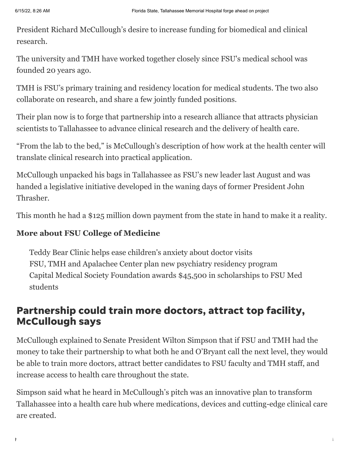President Richard McCullough's desire to increase funding for biomedical and clinical research.

The university and TMH have worked together closely since FSU's medical school was founded 20 years ago.

TMH is FSU's primary training and residency location for medical students. The two also collaborate on research, and share a few jointly funded positions.

Their plan now is to forge that partnership into a research alliance that attracts physician scientists to Tallahassee to advance clinical research and the delivery of health care.

"From the lab to the bed," is McCullough's description of how work at the health center will translate clinical research into practical application.

[McCullough unpacked his bags in Tallahassee as FSU's new leader](https://www.tallahassee.com/story/news/2021/05/24/richard-mccullough-replace-john-thrasher-next-president-fsu-florida-state-university/5200818001/) last August and was handed a legislative initiative developed in the waning days of former President John Thrasher.

This month he had a \$125 million down payment from the state in hand to make it a reality.

#### **More about FSU College of Medicine**

[Teddy Bear Clinic helps ease children's anxiety about doctor visits](https://www.tallahassee.com/story/life/family/2022/01/25/teddy-bear-clinic-eases-childrens-anxiety-doctor-visits/6637366001/) [FSU, TMH and Apalachee Center plan new psychiatry residency program](https://www.tallahassee.com/story/life/causes/2021/12/13/fsu-tmh-and-apalachee-center-plan-new-psychiatry-residency-program/6468323001/) [Capital Medical Society Foundation awards \\$45,500 in scholarships to FSU Med](https://www.tallahassee.com/story/life/chronicle/2021/10/26/capital-medical-society-awards-45-k-scholarships-fsu-med-students/6159010001/) students

### Partnership could train more doctors, attract top facility, McCullough says

McCullough explained to Senate President Wilton Simpson that if FSU and TMH had the money to take their partnership to what both he and O'Bryant call the next level, they would be able to train more doctors, attract better candidates to FSU faculty and TMH staff, and increase access to health care throughout the state.

Simpson said what he heard in McCullough's pitch was an innovative plan to transform Tallahassee into a health care hub where medications, devices and cutting-edge clinical care are created.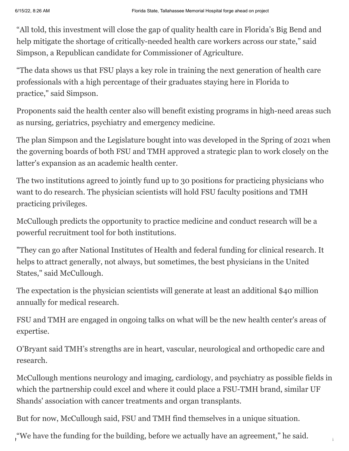"All told, this investment will close the gap of quality health care in Florida's Big Bend and help mitigate the shortage of critically-needed health care workers across our state," said Simpson, a Republican candidate for Commissioner of Agriculture.

"The data shows us that FSU plays a key role in training the next generation of health care professionals with a high percentage of their graduates staying here in Florida to practice," said Simpson.

Proponents said the health center also will benefit existing programs in high-need areas such as nursing, geriatrics, psychiatry and emergency medicine.

The plan Simpson and the Legislature bought into was developed in the Spring of 2021 when the governing boards of both FSU and TMH approved a strategic plan to work closely on the latter's [expansion as an academic health center.](https://www.tallahassee.com/story/news/education/2021/04/14/tmh-fsu-medicine-discussing-academic-medical-center-partnership/7204299002/)

The two institutions agreed to jointly fund up to 30 positions for practicing physicians who want to do research. The physician scientists will hold FSU faculty positions and TMH practicing privileges.

McCullough predicts the opportunity to practice medicine and conduct research will be a powerful recruitment tool for both institutions.

"They can go after National Institutes of Health and federal funding for clinical research. It helps to attract generally, not always, but sometimes, the best physicians in the United States," said McCullough.

The expectation is the physician scientists will generate at least an additional \$40 million annually for medical research.

FSU and TMH are engaged in ongoing talks on what will be the new health center's areas of expertise.

O'Bryant said TMH's strengths are in heart, vascular, neurological and orthopedic care and research.

McCullough mentions neurology and imaging, cardiology, and psychiatry as possible fields in which the partnership could excel and where it could place a FSU-TMH brand, similar UF Shands' association with cancer treatments and organ transplants.

But for now, McCullough said, FSU and TMH find themselves in a unique situation.

, "We have the funding for the building, before we actually have an agreement," he said.